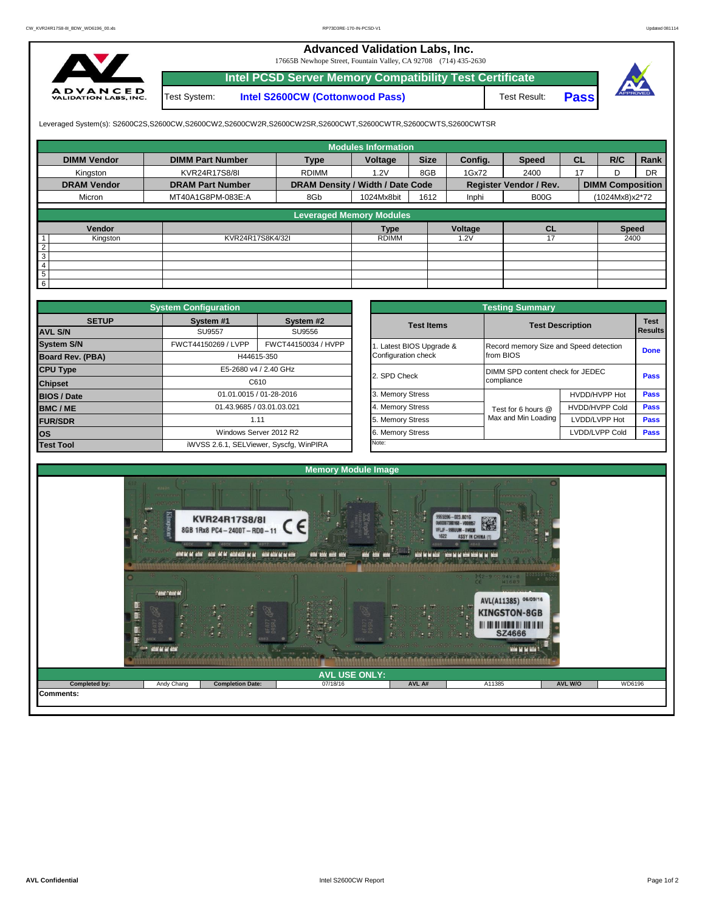## **Advanced Validation Labs, Inc.**

17665B Newhope Street, Fountain Valley, CA 92708 (714) 435-2630



**Intel PCSD Server Memory Compatibility Test Certificate** Test Result: **Pass** Test System: **Intel S2600CW (Cottonwood Pass)**





Leveraged System(s): S2600C2S,S2600CW,S2600CW2,S2600CW2R,S2600CW2SR,S2600CWT,S2600CWTR,S2600CWTS,S2600CWTSR

|                    |                         |                                  | <b>Modules Information</b> |             |         |                               |           |                         |           |
|--------------------|-------------------------|----------------------------------|----------------------------|-------------|---------|-------------------------------|-----------|-------------------------|-----------|
| <b>DIMM Vendor</b> | <b>DIMM Part Number</b> | <b>Type</b>                      | Voltage                    | <b>Size</b> | Config. | <b>Speed</b>                  | <b>CL</b> | R/C                     | Rank      |
| Kingston           | KVR24R17S8/8I           | <b>RDIMM</b>                     | 1.2V                       | 8GB         | 1Gx72   | 2400                          | 17        |                         | <b>DR</b> |
| <b>DRAM Vendor</b> | <b>DRAM Part Number</b> | DRAM Density / Width / Date Code |                            |             |         | <b>Register Vendor / Rev.</b> |           | <b>DIMM Composition</b> |           |
| Micron             | MT40A1G8PM-083E:A       | 8Gb                              | 1024Mx8bit                 | 1612        | Inphi   | B00G                          |           | (1024Mx8)x2*72          |           |
|                    |                         | <b>Leveraged Memory Modules</b>  |                            |             |         |                               |           |                         |           |
|                    |                         |                                  |                            |             |         |                               |           |                         |           |
| Vendor             |                         |                                  | <b>Type</b>                |             | Voltage | <b>CL</b>                     |           | <b>Speed</b>            |           |
| Kingston           | KVR24R17S8K4/32I        |                                  | <b>RDIMM</b>               |             | 1.2V    | 17                            |           | 2400                    |           |
| $\overline{2}$     |                         |                                  |                            |             |         |                               |           |                         |           |
| 3                  |                         |                                  |                            |             |         |                               |           |                         |           |
| 4                  |                         |                                  |                            |             |         |                               |           |                         |           |
| 5                  |                         |                                  |                            |             |         |                               |           |                         |           |
| 6                  |                         |                                  |                            |             |         |                               |           |                         |           |

|                         | <b>System Configuration</b> |                                         | <b>Testing Summary</b> |                                        |                         |             |  |  |  |  |  |
|-------------------------|-----------------------------|-----------------------------------------|------------------------|----------------------------------------|-------------------------|-------------|--|--|--|--|--|
| <b>SETUP</b>            | System #1                   | System #2                               | <b>Test Items</b>      |                                        | <b>Test Description</b> |             |  |  |  |  |  |
| <b>AVL S/N</b>          | <b>SU9557</b>               | SU9556                                  |                        |                                        |                         |             |  |  |  |  |  |
| <b>System S/N</b>       | FWCT44150269 / LVPP         | FWCT44150034 / HVPP                     | Latest BIOS Upgrade &  | Record memory Size and Speed detection |                         | <b>Done</b> |  |  |  |  |  |
| <b>Board Rev. (PBA)</b> |                             | H44615-350                              | Configuration check    | from BIOS                              |                         |             |  |  |  |  |  |
| <b>CPU Type</b>         |                             | E5-2680 v4 / 2.40 GHz                   | 2. SPD Check           | DIMM SPD content check for JEDEC       |                         | Pass        |  |  |  |  |  |
| C610<br><b>Chipset</b>  |                             |                                         |                        | compliance                             |                         |             |  |  |  |  |  |
| <b>BIOS / Date</b>      |                             | 01.01.0015 / 01-28-2016                 | 3. Memory Stress       |                                        | HVDD/HVPP Hot           | <b>Pass</b> |  |  |  |  |  |
| <b>BMC/ME</b>           | 01.43.9685 / 03.01.03.021   |                                         | 4. Memory Stress       | Test for 6 hours @                     | <b>HVDD/HVPP Cold</b>   | <b>Pass</b> |  |  |  |  |  |
| <b>FUR/SDR</b>          |                             | 1.11                                    | 5. Memory Stress       | Max and Min Loading                    | LVDD/LVPP Hot           | <b>Pass</b> |  |  |  |  |  |
| <b>los</b>              |                             | Windows Server 2012 R2                  | 6. Memory Stress       |                                        | LVDD/LVPP Cold          | Pass        |  |  |  |  |  |
| <b>Test Tool</b>        |                             | iWVSS 2.6.1, SELViewer, Syscfq, WinPIRA | Note:                  |                                        |                         |             |  |  |  |  |  |

|              | <b>System Configuration</b> |                                         |                     | <b>Testing Summary</b>           |                                        |                |  |  |  |
|--------------|-----------------------------|-----------------------------------------|---------------------|----------------------------------|----------------------------------------|----------------|--|--|--|
| <b>SETUP</b> | System #1                   | System #2                               | <b>Test Items</b>   | <b>Test Description</b>          |                                        |                |  |  |  |
|              | <b>SU9557</b><br>SU9556     |                                         |                     |                                  |                                        | <b>Results</b> |  |  |  |
|              | FWCT44150269 / LVPP         | FWCT44150034 / HVPP                     |                     |                                  | Record memory Size and Speed detection |                |  |  |  |
| PBA)         |                             | H44615-350                              | Configuration check | from BIOS                        |                                        |                |  |  |  |
|              |                             | E5-2680 v4 / 2.40 GHz                   | 2. SPD Check        | DIMM SPD content check for JEDEC |                                        |                |  |  |  |
|              |                             | C610                                    |                     | compliance                       |                                        | Pass           |  |  |  |
|              |                             | 01.01.0015 / 01-28-2016                 | 3. Memory Stress    |                                  | HVDD/HVPP Hot                          | Pass           |  |  |  |
|              | 01.43.9685 / 03.01.03.021   |                                         | 4. Memory Stress    | Test for 6 hours @               | <b>HVDD/HVPP Cold</b>                  | Pass           |  |  |  |
|              |                             | 1.11                                    | 5. Memory Stress    | Max and Min Loading              | LVDD/LVPP Hot                          | Pass           |  |  |  |
|              |                             | Windows Server 2012 R2                  | 6. Memory Stress    |                                  | LVDD/LVPP Cold                         | Pass           |  |  |  |
|              |                             | iWVSS 2.6.1, SELViewer, Syscfq, WinPIRA | Note:               |                                  |                                        |                |  |  |  |